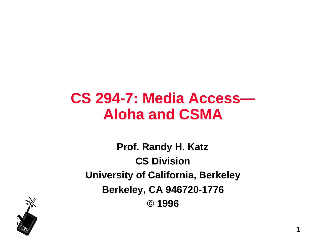### **CS 294-7: Media Access— Aloha and CSMA**

**Prof. Randy H. Katz CS Division University of California, Berkeley Berkeley, CA 946720-1776 © 1996**

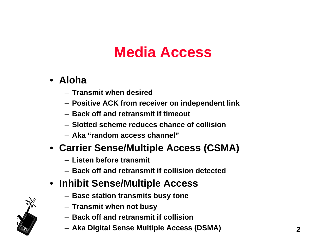## **Media Access**

- **Aloha**
	- **Transmit when desired**
	- **Positive ACK from receiver on independent link**
	- **Back off and retransmit if timeout**
	- **Slotted scheme reduces chance of collision**
	- **Aka "random access channel"**
- **Carrier Sense/Multiple Access (CSMA)**
	- **Listen before transmit**
	- **Back off and retransmit if collision detected**
- **Inhibit Sense/Multiple Access**
	- **Base station transmits busy tone**
	- **Transmit when not busy**
	- **Back off and retransmit if collision**
	- **Aka Digital Sense Multiple Access (DSMA)**

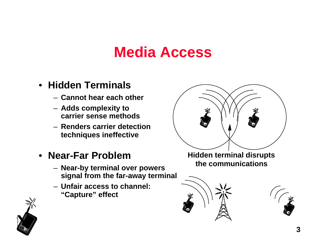#### **Media Access**

#### • **Hidden Terminals**

- **Cannot hear each other**
- **Adds complexity to carrier sense methods**
- **Renders carrier detection techniques ineffective**
- **Near-Far Problem**
	- **Near-by terminal over powers signal from the far-away terminal**
	- **Unfair access to channel: "Capture" effect**



**Hidden terminal disrupts the communications**





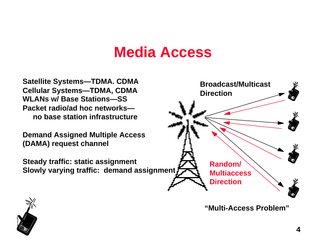#### **Media Access**

**Satellite Systems—TDMA. CDMA Cellular Systems—TDMA, CDMA WLANs w/ Base Stations—SS Packet radio/ad hoc networks no base station infrastructure**

**Demand Assigned Multiple Access (DAMA) request channel**

**Steady traffic: static assignment Slowly varying traffic: demand assignment**



**"Multi-Access Problem"**

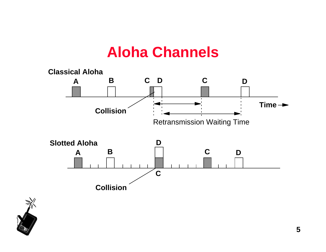#### **Aloha Channels**



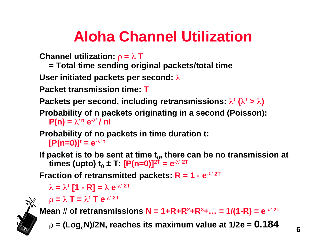# **Aloha Channel Utilization**

**Channel utilization:**  $\rho = \lambda T$ 

**= Total time sending original packets/total time**

**User initiated packets per second:** 

**Packet transmission time: T**

**Packets per second, including retransmissions:**  $\lambda'$  **(** $\lambda' > \lambda$ **)** 

**Probability of n packets originating in a second (Poisson):**   $P(n) = \lambda^{n} e^{-\lambda^{n}} / n!$ 

**Probability of no packets in time duration t:** 

 $[{\bf P}({\bf n}={\bf 0})]^t={\bf e}^{-\lambda^2 t}$ 

**If packet is to be sent at time t<sup>0</sup> , there can be no transmission at times (upto) t<sup>0</sup> ± T: [P(n=0)]2T = e- ' 2T**

**Fraction of retransmitted packets:**  $R = 1 - e^{-\lambda^2}$  **2T** 

 $\lambda = \lambda'$  [1 - R] =  $\lambda$  e<sup>- $\lambda'$  2T</sup>

$$
\rho = \lambda \mathbf{T} = \lambda' \mathbf{T} e^{-\lambda' 2\mathbf{T}}
$$

**Mean # of retransmissions**  $N = 1 + R + R^2 + R^3 + ... = 1/(1 - R) = e^{-\lambda^2 2T}$ 

 $\rho = (Log_e N)/2N$ , reaches its maximum value at  $1/2e = 0.184$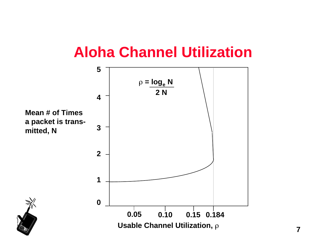### **Aloha Channel Utilization**



**7**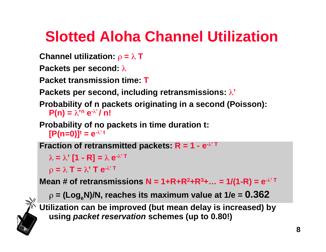# **Slotted Aloha Channel Utilization**

```
Channel utilization: \rho = \lambda T
```
**Packets per second:** 

**Packet transmission time: T**

**Packets per second, including retransmissions: '**

**Probability of n packets originating in a second (Poisson):**   $P(n) = \lambda^{n} e^{-\lambda^{n}} / n!$ 

**Probability of no packets in time duration t:**   $[{\bf P}({\bf n}={\bf 0})]^t={\bf e}^{-\lambda^2 t}$ 

**Fraction of retransmitted packets:**  $R = 1 - e^{-\lambda T}$ 

 $\lambda = \lambda'$  [1 - **R**] =  $\lambda$  **e**<sup>- $\lambda'$  T</sup>

 $\rho = \lambda T = \lambda' T e^{-\lambda' T}$ 

**Mean # of retransmissions**  $N = 1 + R + R^2 + R^3 + ... = 1/(1 - R) = e^{-\lambda T}$ 

 $\rho = (Log_e N)/N$ , reaches its maximum value at  $1/e = 0.362$ 

**Utilization can be improved (but mean delay is increased) by using packet reservation schemes (up to 0.80!)**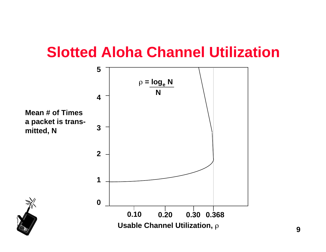### **Slotted Aloha Channel Utilization**

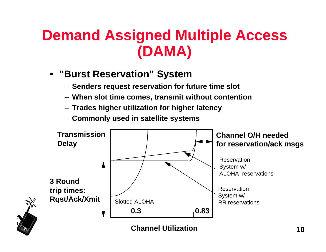## **Demand Assigned Multiple Access (DAMA)**

- **"Burst Reservation" System**
	- **Senders request reservation for future time slot**
	- **When slot time comes, transmit without contention**
	- **Trades higher utilization for higher latency**
	- **Commonly used in satellite systems**

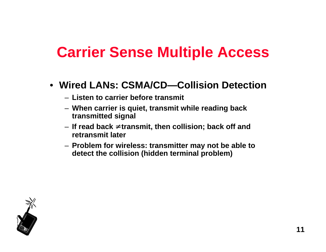### **Carrier Sense Multiple Access**

- **Wired LANs: CSMA/CD—Collision Detection**
	- **Listen to carrier before transmit**
	- **When carrier is quiet, transmit while reading back transmitted signal**
	- **If read back transmit, then collision; back off and retransmit later**
	- **Problem for wireless: transmitter may not be able to detect the collision (hidden terminal problem)**

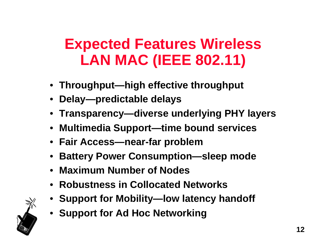## **Expected Features Wireless LAN MAC (IEEE 802.11)**

- **Throughput—high effective throughput**
- **Delay—predictable delays**
- **Transparency—diverse underlying PHY layers**
- **Multimedia Support—time bound services**
- **Fair Access—near-far problem**
- **Battery Power Consumption—sleep mode**
- **Maximum Number of Nodes**
- **Robustness in Collocated Networks**
- **Support for Mobility—low latency handoff**
- **Support for Ad Hoc Networking**

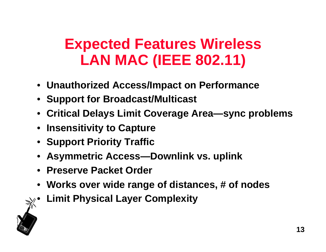## **Expected Features Wireless LAN MAC (IEEE 802.11)**

- **Unauthorized Access/Impact on Performance**
- **Support for Broadcast/Multicast**
- **Critical Delays Limit Coverage Area—sync problems**
- **Insensitivity to Capture**
- **Support Priority Traffic**
- **Asymmetric Access—Downlink vs. uplink**
- **Preserve Packet Order**
- **Works over wide range of distances, # of nodes**
- **Limit Physical Layer Complexity**

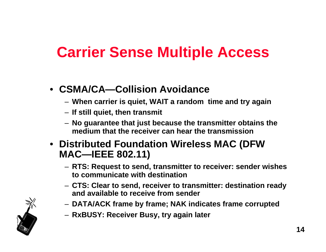## **Carrier Sense Multiple Access**

- **CSMA/CA—Collision Avoidance**
	- **When carrier is quiet, WAIT a random time and try again**
	- **If still quiet, then transmit**
	- **No guarantee that just because the transmitter obtains the medium that the receiver can hear the transmission**
- **Distributed Foundation Wireless MAC (DFW MAC—IEEE 802.11)**
	- **RTS: Request to send, transmitter to receiver: sender wishes to communicate with destination**
	- **CTS: Clear to send, receiver to transmitter: destination ready and available to receive from sender**
	- **DATA/ACK frame by frame; NAK indicates frame corrupted**
	- **RxBUSY: Receiver Busy, try again later**

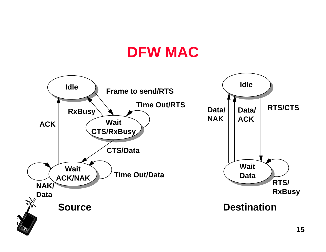### **DFW MAC**

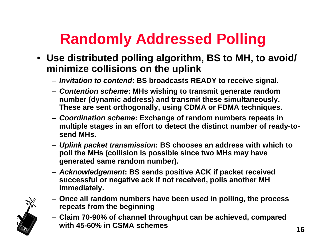# **Randomly Addressed Polling**

- **Use distributed polling algorithm, BS to MH, to avoid/ minimize collisions on the uplink**
	- **Invitation to contend: BS broadcasts READY to receive signal.**
	- **Contention scheme: MHs wishing to transmit generate random number (dynamic address) and transmit these simultaneously. These are sent orthogonally, using CDMA or FDMA techniques.**
	- **Coordination scheme: Exchange of random numbers repeats in multiple stages in an effort to detect the distinct number of ready-tosend MHs.**
	- **Uplink packet transmission: BS chooses an address with which to poll the MHs (collision is possible since two MHs may have generated same random number).**
	- **Acknowledgement: BS sends positive ACK if packet received successful or negative ack if not received, polls another MH immediately.**
- 
- **Once all random numbers have been used in polling, the process repeats from the beginning**
- **Claim 70-90% of channel throughput can be achieved, compared with 45-60% in CSMA schemes**